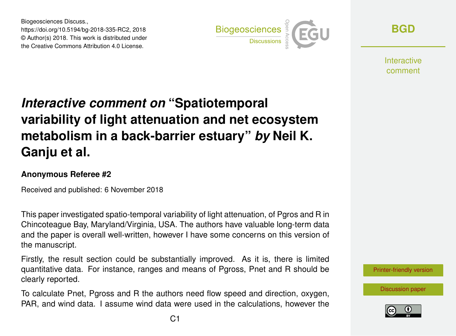Biogeosciences Discuss., https://doi.org/10.5194/bg-2018-335-RC2, 2018 © Author(s) 2018. This work is distributed under the Creative Commons Attribution 4.0 License.



**[BGD](https://www.biogeosciences-discuss.net/)**

**Interactive** comment

## *Interactive comment on* **"Spatiotemporal variability of light attenuation and net ecosystem metabolism in a back-barrier estuary"** *by* **Neil K. Ganju et al.**

## **Anonymous Referee #2**

Received and published: 6 November 2018

This paper investigated spatio-temporal variability of light attenuation, of Pgros and R in Chincoteague Bay, Maryland/Virginia, USA. The authors have valuable long-term data and the paper is overall well-written, however I have some concerns on this version of the manuscript.

Firstly, the result section could be substantially improved. As it is, there is limited quantitative data. For instance, ranges and means of Pgross, Pnet and R should be clearly reported.

To calculate Pnet, Pgross and R the authors need flow speed and direction, oxygen, PAR, and wind data. I assume wind data were used in the calculations, however the



[Discussion paper](https://www.biogeosciences-discuss.net/bg-2018-335)